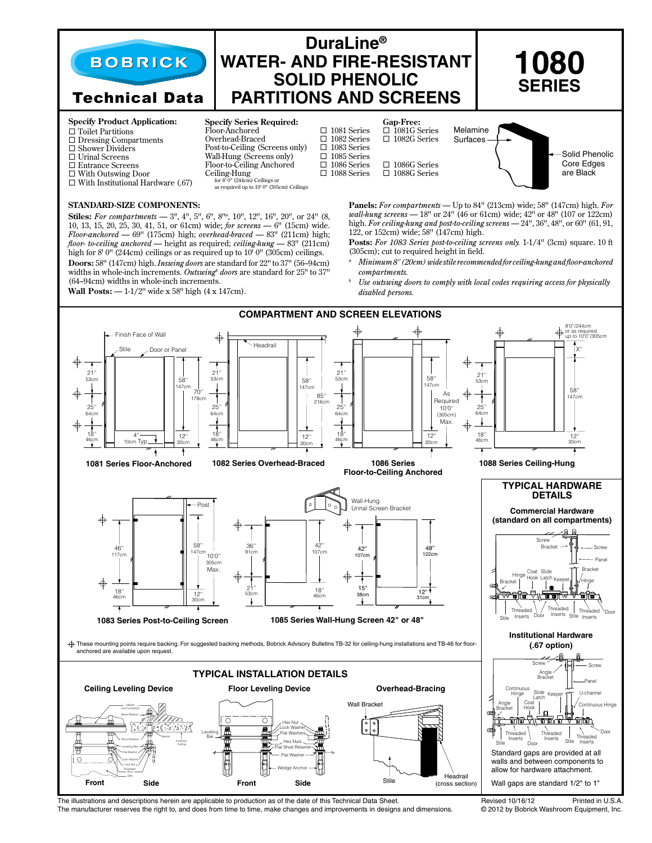

The illustrations and descriptions herein are applicable to production as of the date of this Technical Data Sheet.<br>The manufacturer reserves the right to, and does from time to time, make changes and improvements in desig The manufacturer reserves the right to, and does from time to time, make changes and improvements in designs and dimensions.